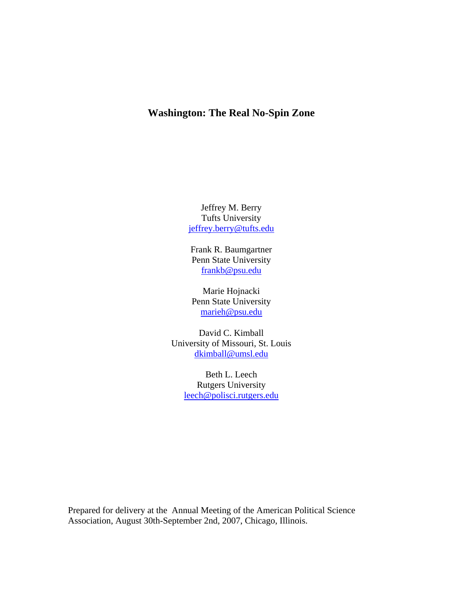# **Washington: The Real No-Spin Zone**

Jeffrey M. Berry Tufts University jeffrey.berry@tufts.edu

Frank R. Baumgartner Penn State University frankb@psu.edu

Marie Hojnacki Penn State University marieh@psu.edu

David C. Kimball University of Missouri, St. Louis dkimball@umsl.edu

> Beth L. Leech Rutgers University leech@polisci.rutgers.edu

Prepared for delivery at the Annual Meeting of the American Political Science Association, August 30th-September 2nd, 2007, Chicago, Illinois.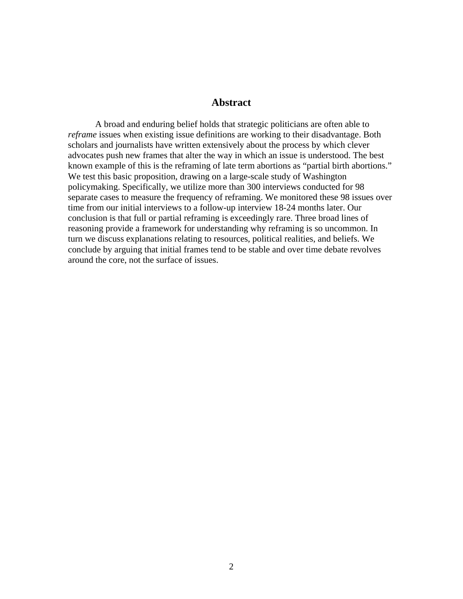# **Abstract**

A broad and enduring belief holds that strategic politicians are often able to *reframe* issues when existing issue definitions are working to their disadvantage. Both scholars and journalists have written extensively about the process by which clever advocates push new frames that alter the way in which an issue is understood. The best known example of this is the reframing of late term abortions as "partial birth abortions." We test this basic proposition, drawing on a large-scale study of Washington policymaking. Specifically, we utilize more than 300 interviews conducted for 98 separate cases to measure the frequency of reframing. We monitored these 98 issues over time from our initial interviews to a follow-up interview 18-24 months later. Our conclusion is that full or partial reframing is exceedingly rare. Three broad lines of reasoning provide a framework for understanding why reframing is so uncommon. In turn we discuss explanations relating to resources, political realities, and beliefs. We conclude by arguing that initial frames tend to be stable and over time debate revolves around the core, not the surface of issues.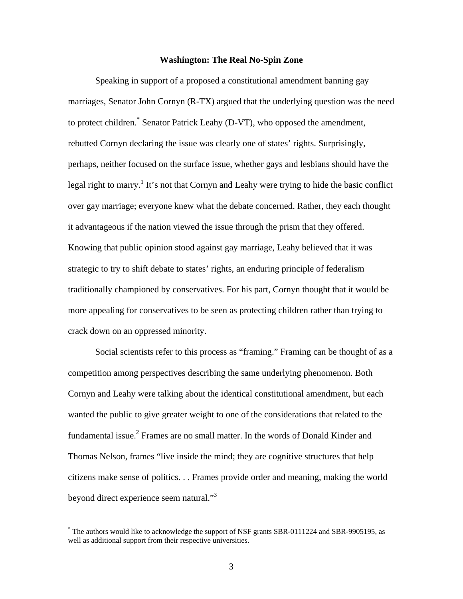## **Washington: The Real No-Spin Zone**

Speaking in support of a proposed a constitutional amendment banning gay marriages, Senator John Cornyn (R-TX) argued that the underlying question was the need to protect children.\* Senator Patrick Leahy (D-VT), who opposed the amendment, rebutted Cornyn declaring the issue was clearly one of states' rights. Surprisingly, perhaps, neither focused on the surface issue, whether gays and lesbians should have the legal right to marry.<sup>1</sup> It's not that Cornyn and Leahy were trying to hide the basic conflict over gay marriage; everyone knew what the debate concerned. Rather, they each thought it advantageous if the nation viewed the issue through the prism that they offered. Knowing that public opinion stood against gay marriage, Leahy believed that it was strategic to try to shift debate to states' rights, an enduring principle of federalism traditionally championed by conservatives. For his part, Cornyn thought that it would be more appealing for conservatives to be seen as protecting children rather than trying to crack down on an oppressed minority.

Social scientists refer to this process as "framing." Framing can be thought of as a competition among perspectives describing the same underlying phenomenon. Both Cornyn and Leahy were talking about the identical constitutional amendment, but each wanted the public to give greater weight to one of the considerations that related to the fundamental issue.<sup>2</sup> Frames are no small matter. In the words of Donald Kinder and Thomas Nelson, frames "live inside the mind; they are cognitive structures that help citizens make sense of politics. . . Frames provide order and meaning, making the world beyond direct experience seem natural."<sup>3</sup>

 $\overline{a}$ 

<sup>\*</sup> The authors would like to acknowledge the support of NSF grants SBR-0111224 and SBR-9905195, as well as additional support from their respective universities.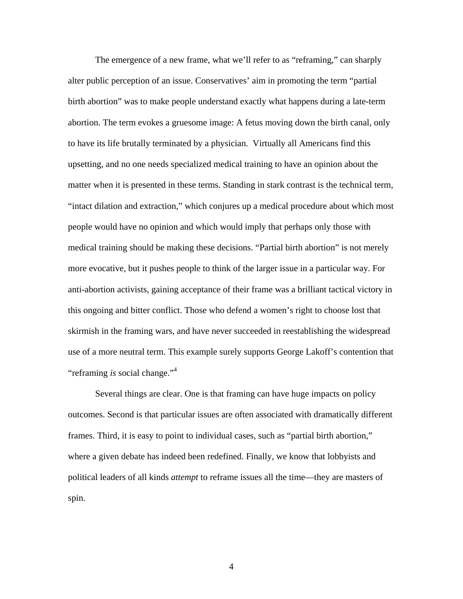The emergence of a new frame, what we'll refer to as "reframing," can sharply alter public perception of an issue. Conservatives' aim in promoting the term "partial birth abortion" was to make people understand exactly what happens during a late-term abortion. The term evokes a gruesome image: A fetus moving down the birth canal, only to have its life brutally terminated by a physician. Virtually all Americans find this upsetting, and no one needs specialized medical training to have an opinion about the matter when it is presented in these terms. Standing in stark contrast is the technical term, "intact dilation and extraction," which conjures up a medical procedure about which most people would have no opinion and which would imply that perhaps only those with medical training should be making these decisions. "Partial birth abortion" is not merely more evocative, but it pushes people to think of the larger issue in a particular way. For anti-abortion activists, gaining acceptance of their frame was a brilliant tactical victory in this ongoing and bitter conflict. Those who defend a women's right to choose lost that skirmish in the framing wars, and have never succeeded in reestablishing the widespread use of a more neutral term. This example surely supports George Lakoff's contention that "reframing *is* social change."<sup>4</sup>

Several things are clear. One is that framing can have huge impacts on policy outcomes. Second is that particular issues are often associated with dramatically different frames. Third, it is easy to point to individual cases, such as "partial birth abortion," where a given debate has indeed been redefined. Finally, we know that lobbyists and political leaders of all kinds *attempt* to reframe issues all the time—they are masters of spin.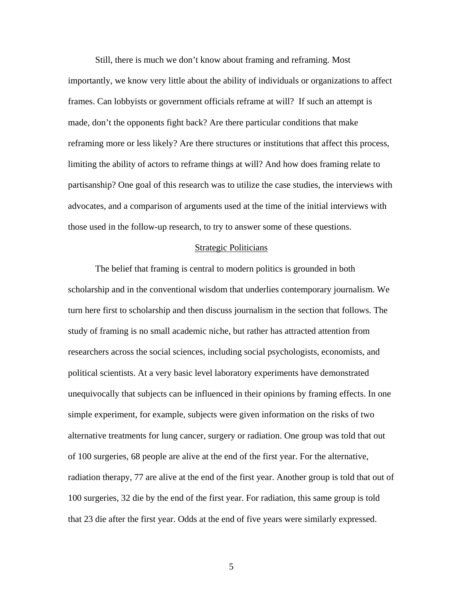Still, there is much we don't know about framing and reframing. Most importantly, we know very little about the ability of individuals or organizations to affect frames. Can lobbyists or government officials reframe at will? If such an attempt is made, don't the opponents fight back? Are there particular conditions that make reframing more or less likely? Are there structures or institutions that affect this process, limiting the ability of actors to reframe things at will? And how does framing relate to partisanship? One goal of this research was to utilize the case studies, the interviews with advocates, and a comparison of arguments used at the time of the initial interviews with those used in the follow-up research, to try to answer some of these questions.

#### Strategic Politicians

The belief that framing is central to modern politics is grounded in both scholarship and in the conventional wisdom that underlies contemporary journalism. We turn here first to scholarship and then discuss journalism in the section that follows. The study of framing is no small academic niche, but rather has attracted attention from researchers across the social sciences, including social psychologists, economists, and political scientists. At a very basic level laboratory experiments have demonstrated unequivocally that subjects can be influenced in their opinions by framing effects. In one simple experiment, for example, subjects were given information on the risks of two alternative treatments for lung cancer, surgery or radiation. One group was told that out of 100 surgeries, 68 people are alive at the end of the first year. For the alternative, radiation therapy, 77 are alive at the end of the first year. Another group is told that out of 100 surgeries, 32 die by the end of the first year. For radiation, this same group is told that 23 die after the first year. Odds at the end of five years were similarly expressed.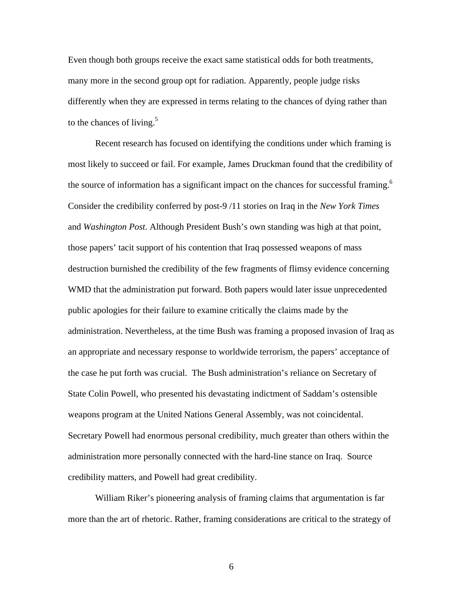Even though both groups receive the exact same statistical odds for both treatments, many more in the second group opt for radiation. Apparently, people judge risks differently when they are expressed in terms relating to the chances of dying rather than to the chances of living. $5$ 

Recent research has focused on identifying the conditions under which framing is most likely to succeed or fail. For example, James Druckman found that the credibility of the source of information has a significant impact on the chances for successful framing.<sup>6</sup> Consider the credibility conferred by post-9 /11 stories on Iraq in the *New York Times*  and *Washington Post*. Although President Bush's own standing was high at that point, those papers' tacit support of his contention that Iraq possessed weapons of mass destruction burnished the credibility of the few fragments of flimsy evidence concerning WMD that the administration put forward. Both papers would later issue unprecedented public apologies for their failure to examine critically the claims made by the administration. Nevertheless, at the time Bush was framing a proposed invasion of Iraq as an appropriate and necessary response to worldwide terrorism, the papers' acceptance of the case he put forth was crucial. The Bush administration's reliance on Secretary of State Colin Powell, who presented his devastating indictment of Saddam's ostensible weapons program at the United Nations General Assembly, was not coincidental. Secretary Powell had enormous personal credibility, much greater than others within the administration more personally connected with the hard-line stance on Iraq. Source credibility matters, and Powell had great credibility.

William Riker's pioneering analysis of framing claims that argumentation is far more than the art of rhetoric. Rather, framing considerations are critical to the strategy of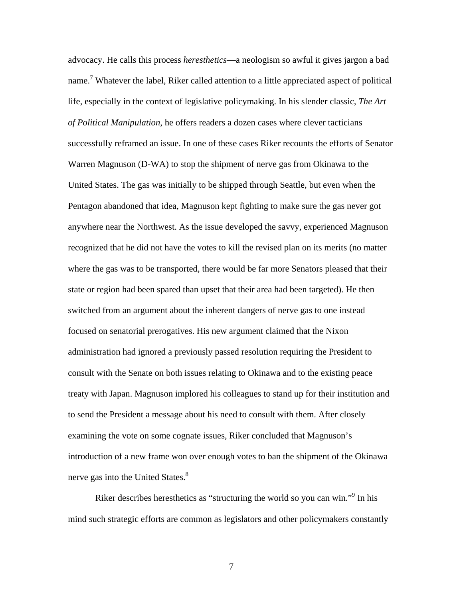advocacy. He calls this process *heresthetics*—a neologism so awful it gives jargon a bad name.<sup>7</sup> Whatever the label, Riker called attention to a little appreciated aspect of political life, especially in the context of legislative policymaking. In his slender classic, *The Art of Political Manipulation*, he offers readers a dozen cases where clever tacticians successfully reframed an issue. In one of these cases Riker recounts the efforts of Senator Warren Magnuson (D-WA) to stop the shipment of nerve gas from Okinawa to the United States. The gas was initially to be shipped through Seattle, but even when the Pentagon abandoned that idea, Magnuson kept fighting to make sure the gas never got anywhere near the Northwest. As the issue developed the savvy, experienced Magnuson recognized that he did not have the votes to kill the revised plan on its merits (no matter where the gas was to be transported, there would be far more Senators pleased that their state or region had been spared than upset that their area had been targeted). He then switched from an argument about the inherent dangers of nerve gas to one instead focused on senatorial prerogatives. His new argument claimed that the Nixon administration had ignored a previously passed resolution requiring the President to consult with the Senate on both issues relating to Okinawa and to the existing peace treaty with Japan. Magnuson implored his colleagues to stand up for their institution and to send the President a message about his need to consult with them. After closely examining the vote on some cognate issues, Riker concluded that Magnuson's introduction of a new frame won over enough votes to ban the shipment of the Okinawa nerve gas into the United States.<sup>8</sup>

Riker describes heresthetics as "structuring the world so you can win."<sup>9</sup> In his mind such strategic efforts are common as legislators and other policymakers constantly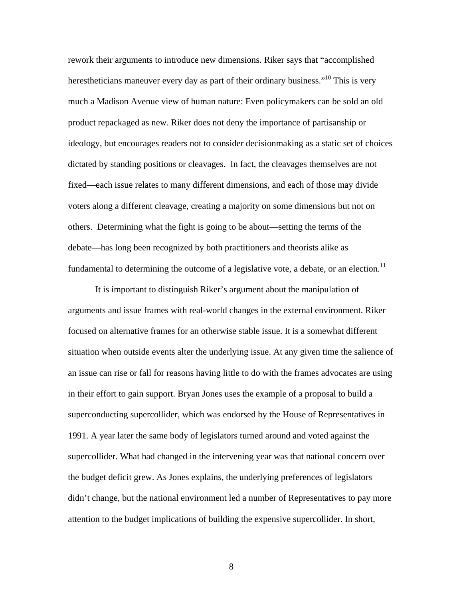rework their arguments to introduce new dimensions. Riker says that "accomplished herestheticians maneuver every day as part of their ordinary business."<sup>10</sup> This is very much a Madison Avenue view of human nature: Even policymakers can be sold an old product repackaged as new. Riker does not deny the importance of partisanship or ideology, but encourages readers not to consider decisionmaking as a static set of choices dictated by standing positions or cleavages. In fact, the cleavages themselves are not fixed—each issue relates to many different dimensions, and each of those may divide voters along a different cleavage, creating a majority on some dimensions but not on others. Determining what the fight is going to be about—setting the terms of the debate—has long been recognized by both practitioners and theorists alike as fundamental to determining the outcome of a legislative vote, a debate, or an election.<sup>11</sup>

It is important to distinguish Riker's argument about the manipulation of arguments and issue frames with real-world changes in the external environment. Riker focused on alternative frames for an otherwise stable issue. It is a somewhat different situation when outside events alter the underlying issue. At any given time the salience of an issue can rise or fall for reasons having little to do with the frames advocates are using in their effort to gain support. Bryan Jones uses the example of a proposal to build a superconducting supercollider, which was endorsed by the House of Representatives in 1991. A year later the same body of legislators turned around and voted against the supercollider. What had changed in the intervening year was that national concern over the budget deficit grew. As Jones explains, the underlying preferences of legislators didn't change, but the national environment led a number of Representatives to pay more attention to the budget implications of building the expensive supercollider. In short,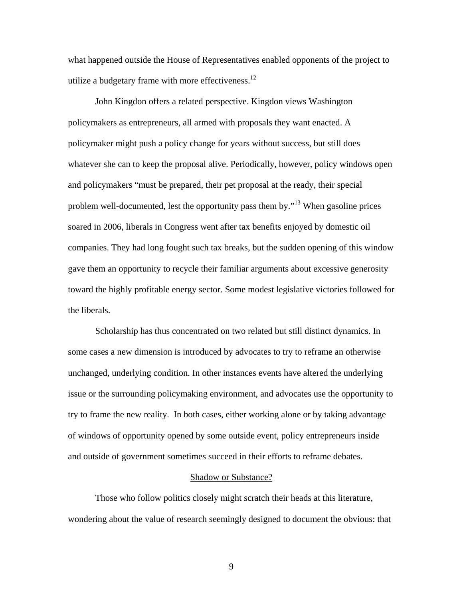what happened outside the House of Representatives enabled opponents of the project to utilize a budgetary frame with more effectiveness.<sup>12</sup>

John Kingdon offers a related perspective. Kingdon views Washington policymakers as entrepreneurs, all armed with proposals they want enacted. A policymaker might push a policy change for years without success, but still does whatever she can to keep the proposal alive. Periodically, however, policy windows open and policymakers "must be prepared, their pet proposal at the ready, their special problem well-documented, lest the opportunity pass them by."13 When gasoline prices soared in 2006, liberals in Congress went after tax benefits enjoyed by domestic oil companies. They had long fought such tax breaks, but the sudden opening of this window gave them an opportunity to recycle their familiar arguments about excessive generosity toward the highly profitable energy sector. Some modest legislative victories followed for the liberals.

Scholarship has thus concentrated on two related but still distinct dynamics. In some cases a new dimension is introduced by advocates to try to reframe an otherwise unchanged, underlying condition. In other instances events have altered the underlying issue or the surrounding policymaking environment, and advocates use the opportunity to try to frame the new reality. In both cases, either working alone or by taking advantage of windows of opportunity opened by some outside event, policy entrepreneurs inside and outside of government sometimes succeed in their efforts to reframe debates.

#### Shadow or Substance?

Those who follow politics closely might scratch their heads at this literature, wondering about the value of research seemingly designed to document the obvious: that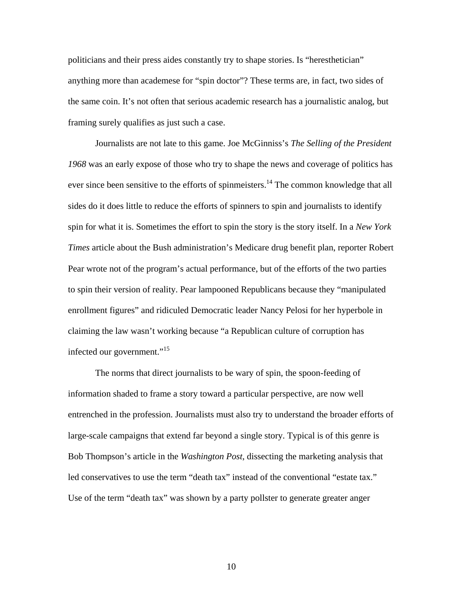politicians and their press aides constantly try to shape stories. Is "heresthetician" anything more than academese for "spin doctor"? These terms are, in fact, two sides of the same coin. It's not often that serious academic research has a journalistic analog, but framing surely qualifies as just such a case.

Journalists are not late to this game. Joe McGinniss's *The Selling of the President 1968* was an early expose of those who try to shape the news and coverage of politics has ever since been sensitive to the efforts of spinmeisters.<sup>14</sup> The common knowledge that all sides do it does little to reduce the efforts of spinners to spin and journalists to identify spin for what it is. Sometimes the effort to spin the story is the story itself. In a *New York Times* article about the Bush administration's Medicare drug benefit plan, reporter Robert Pear wrote not of the program's actual performance, but of the efforts of the two parties to spin their version of reality. Pear lampooned Republicans because they "manipulated enrollment figures" and ridiculed Democratic leader Nancy Pelosi for her hyperbole in claiming the law wasn't working because "a Republican culture of corruption has infected our government."<sup>15</sup>

The norms that direct journalists to be wary of spin, the spoon-feeding of information shaded to frame a story toward a particular perspective, are now well entrenched in the profession. Journalists must also try to understand the broader efforts of large-scale campaigns that extend far beyond a single story. Typical is of this genre is Bob Thompson's article in the *Washington Post*, dissecting the marketing analysis that led conservatives to use the term "death tax" instead of the conventional "estate tax." Use of the term "death tax" was shown by a party pollster to generate greater anger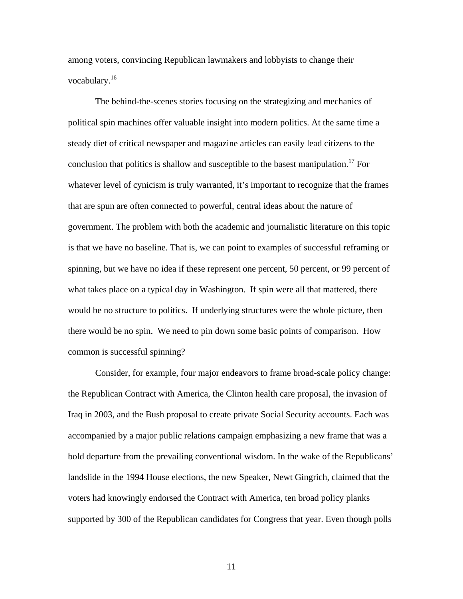among voters, convincing Republican lawmakers and lobbyists to change their vocabulary.16

The behind-the-scenes stories focusing on the strategizing and mechanics of political spin machines offer valuable insight into modern politics. At the same time a steady diet of critical newspaper and magazine articles can easily lead citizens to the conclusion that politics is shallow and susceptible to the basest manipulation.<sup>17</sup> For whatever level of cynicism is truly warranted, it's important to recognize that the frames that are spun are often connected to powerful, central ideas about the nature of government. The problem with both the academic and journalistic literature on this topic is that we have no baseline. That is, we can point to examples of successful reframing or spinning, but we have no idea if these represent one percent, 50 percent, or 99 percent of what takes place on a typical day in Washington. If spin were all that mattered, there would be no structure to politics. If underlying structures were the whole picture, then there would be no spin. We need to pin down some basic points of comparison. How common is successful spinning?

Consider, for example, four major endeavors to frame broad-scale policy change: the Republican Contract with America, the Clinton health care proposal, the invasion of Iraq in 2003, and the Bush proposal to create private Social Security accounts. Each was accompanied by a major public relations campaign emphasizing a new frame that was a bold departure from the prevailing conventional wisdom. In the wake of the Republicans' landslide in the 1994 House elections, the new Speaker, Newt Gingrich, claimed that the voters had knowingly endorsed the Contract with America, ten broad policy planks supported by 300 of the Republican candidates for Congress that year. Even though polls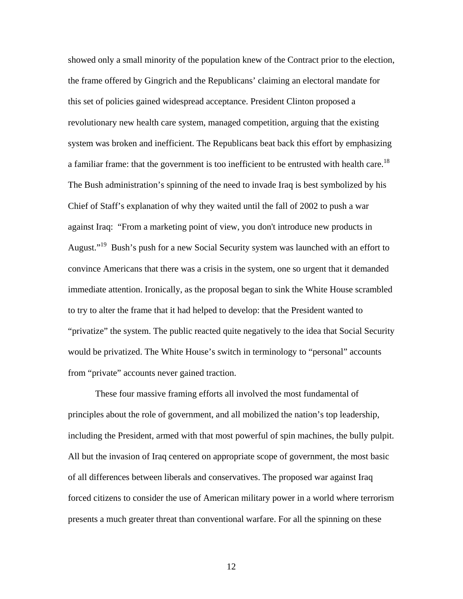showed only a small minority of the population knew of the Contract prior to the election, the frame offered by Gingrich and the Republicans' claiming an electoral mandate for this set of policies gained widespread acceptance. President Clinton proposed a revolutionary new health care system, managed competition, arguing that the existing system was broken and inefficient. The Republicans beat back this effort by emphasizing a familiar frame: that the government is too inefficient to be entrusted with health care.<sup>18</sup> The Bush administration's spinning of the need to invade Iraq is best symbolized by his Chief of Staff's explanation of why they waited until the fall of 2002 to push a war against Iraq: "From a marketing point of view, you don't introduce new products in August."<sup>19</sup> Bush's push for a new Social Security system was launched with an effort to convince Americans that there was a crisis in the system, one so urgent that it demanded immediate attention. Ironically, as the proposal began to sink the White House scrambled to try to alter the frame that it had helped to develop: that the President wanted to "privatize" the system. The public reacted quite negatively to the idea that Social Security would be privatized. The White House's switch in terminology to "personal" accounts from "private" accounts never gained traction.

These four massive framing efforts all involved the most fundamental of principles about the role of government, and all mobilized the nation's top leadership, including the President, armed with that most powerful of spin machines, the bully pulpit. All but the invasion of Iraq centered on appropriate scope of government, the most basic of all differences between liberals and conservatives. The proposed war against Iraq forced citizens to consider the use of American military power in a world where terrorism presents a much greater threat than conventional warfare. For all the spinning on these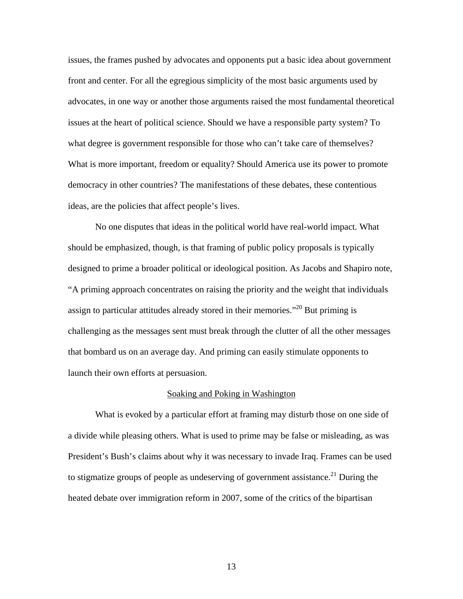issues, the frames pushed by advocates and opponents put a basic idea about government front and center. For all the egregious simplicity of the most basic arguments used by advocates, in one way or another those arguments raised the most fundamental theoretical issues at the heart of political science. Should we have a responsible party system? To what degree is government responsible for those who can't take care of themselves? What is more important, freedom or equality? Should America use its power to promote democracy in other countries? The manifestations of these debates, these contentious ideas, are the policies that affect people's lives.

No one disputes that ideas in the political world have real-world impact. What should be emphasized, though, is that framing of public policy proposals is typically designed to prime a broader political or ideological position. As Jacobs and Shapiro note, "A priming approach concentrates on raising the priority and the weight that individuals assign to particular attitudes already stored in their memories."<sup>20</sup> But priming is challenging as the messages sent must break through the clutter of all the other messages that bombard us on an average day. And priming can easily stimulate opponents to launch their own efforts at persuasion.

### Soaking and Poking in Washington

What is evoked by a particular effort at framing may disturb those on one side of a divide while pleasing others. What is used to prime may be false or misleading, as was President's Bush's claims about why it was necessary to invade Iraq. Frames can be used to stigmatize groups of people as undeserving of government assistance.<sup>21</sup> During the heated debate over immigration reform in 2007, some of the critics of the bipartisan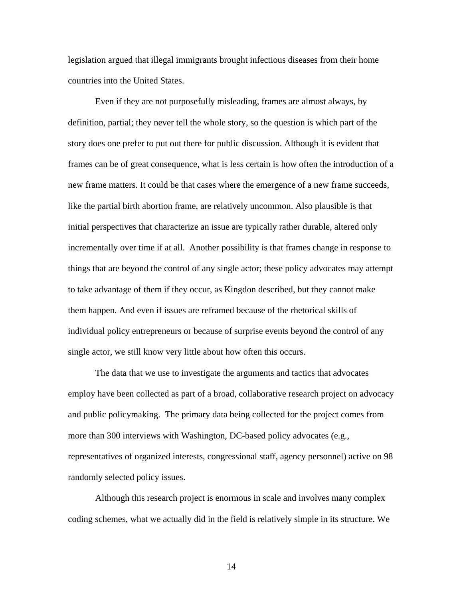legislation argued that illegal immigrants brought infectious diseases from their home countries into the United States.

Even if they are not purposefully misleading, frames are almost always, by definition, partial; they never tell the whole story, so the question is which part of the story does one prefer to put out there for public discussion. Although it is evident that frames can be of great consequence, what is less certain is how often the introduction of a new frame matters. It could be that cases where the emergence of a new frame succeeds, like the partial birth abortion frame, are relatively uncommon. Also plausible is that initial perspectives that characterize an issue are typically rather durable, altered only incrementally over time if at all. Another possibility is that frames change in response to things that are beyond the control of any single actor; these policy advocates may attempt to take advantage of them if they occur, as Kingdon described, but they cannot make them happen. And even if issues are reframed because of the rhetorical skills of individual policy entrepreneurs or because of surprise events beyond the control of any single actor, we still know very little about how often this occurs.

The data that we use to investigate the arguments and tactics that advocates employ have been collected as part of a broad, collaborative research project on advocacy and public policymaking. The primary data being collected for the project comes from more than 300 interviews with Washington, DC-based policy advocates (e.g., representatives of organized interests, congressional staff, agency personnel) active on 98 randomly selected policy issues.

Although this research project is enormous in scale and involves many complex coding schemes, what we actually did in the field is relatively simple in its structure. We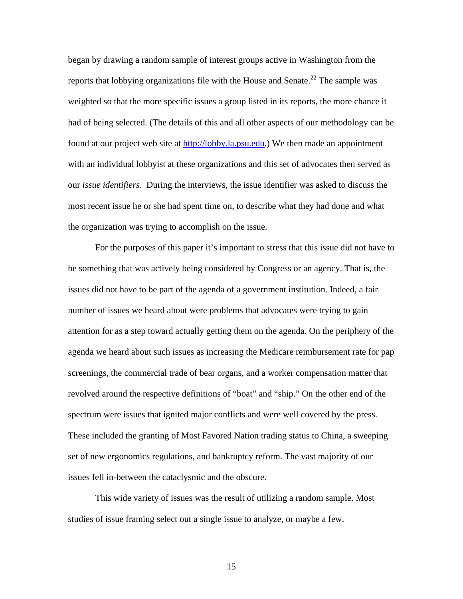began by drawing a random sample of interest groups active in Washington from the reports that lobbying organizations file with the House and Senate.<sup>22</sup> The sample was weighted so that the more specific issues a group listed in its reports, the more chance it had of being selected. (The details of this and all other aspects of our methodology can be found at our project web site at http://lobby.la.psu.edu.) We then made an appointment with an individual lobbyist at these organizations and this set of advocates then served as our *issue identifiers*. During the interviews, the issue identifier was asked to discuss the most recent issue he or she had spent time on, to describe what they had done and what the organization was trying to accomplish on the issue.

For the purposes of this paper it's important to stress that this issue did not have to be something that was actively being considered by Congress or an agency. That is, the issues did not have to be part of the agenda of a government institution. Indeed, a fair number of issues we heard about were problems that advocates were trying to gain attention for as a step toward actually getting them on the agenda. On the periphery of the agenda we heard about such issues as increasing the Medicare reimbursement rate for pap screenings, the commercial trade of bear organs, and a worker compensation matter that revolved around the respective definitions of "boat" and "ship." On the other end of the spectrum were issues that ignited major conflicts and were well covered by the press. These included the granting of Most Favored Nation trading status to China, a sweeping set of new ergonomics regulations, and bankruptcy reform. The vast majority of our issues fell in-between the cataclysmic and the obscure.

This wide variety of issues was the result of utilizing a random sample. Most studies of issue framing select out a single issue to analyze, or maybe a few.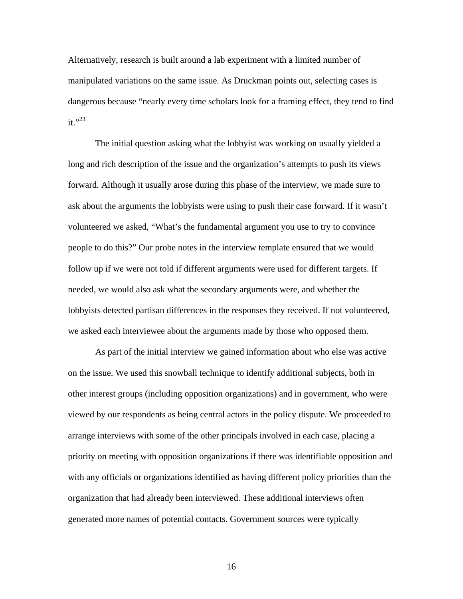Alternatively, research is built around a lab experiment with a limited number of manipulated variations on the same issue. As Druckman points out, selecting cases is dangerous because "nearly every time scholars look for a framing effect, they tend to find  $it.$ "23

The initial question asking what the lobbyist was working on usually yielded a long and rich description of the issue and the organization's attempts to push its views forward. Although it usually arose during this phase of the interview, we made sure to ask about the arguments the lobbyists were using to push their case forward. If it wasn't volunteered we asked, "What's the fundamental argument you use to try to convince people to do this?" Our probe notes in the interview template ensured that we would follow up if we were not told if different arguments were used for different targets. If needed, we would also ask what the secondary arguments were, and whether the lobbyists detected partisan differences in the responses they received. If not volunteered, we asked each interviewee about the arguments made by those who opposed them.

As part of the initial interview we gained information about who else was active on the issue. We used this snowball technique to identify additional subjects, both in other interest groups (including opposition organizations) and in government, who were viewed by our respondents as being central actors in the policy dispute. We proceeded to arrange interviews with some of the other principals involved in each case, placing a priority on meeting with opposition organizations if there was identifiable opposition and with any officials or organizations identified as having different policy priorities than the organization that had already been interviewed. These additional interviews often generated more names of potential contacts. Government sources were typically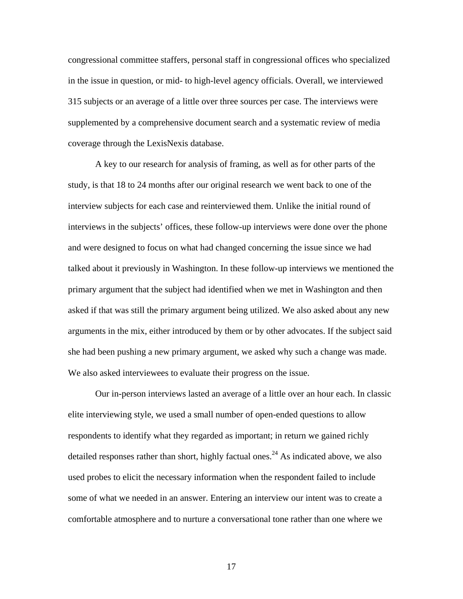congressional committee staffers, personal staff in congressional offices who specialized in the issue in question, or mid- to high-level agency officials. Overall, we interviewed 315 subjects or an average of a little over three sources per case. The interviews were supplemented by a comprehensive document search and a systematic review of media coverage through the LexisNexis database.

A key to our research for analysis of framing, as well as for other parts of the study, is that 18 to 24 months after our original research we went back to one of the interview subjects for each case and reinterviewed them. Unlike the initial round of interviews in the subjects' offices, these follow-up interviews were done over the phone and were designed to focus on what had changed concerning the issue since we had talked about it previously in Washington. In these follow-up interviews we mentioned the primary argument that the subject had identified when we met in Washington and then asked if that was still the primary argument being utilized. We also asked about any new arguments in the mix, either introduced by them or by other advocates. If the subject said she had been pushing a new primary argument, we asked why such a change was made. We also asked interviewees to evaluate their progress on the issue.

Our in-person interviews lasted an average of a little over an hour each. In classic elite interviewing style, we used a small number of open-ended questions to allow respondents to identify what they regarded as important; in return we gained richly detailed responses rather than short, highly factual ones.<sup>24</sup> As indicated above, we also used probes to elicit the necessary information when the respondent failed to include some of what we needed in an answer. Entering an interview our intent was to create a comfortable atmosphere and to nurture a conversational tone rather than one where we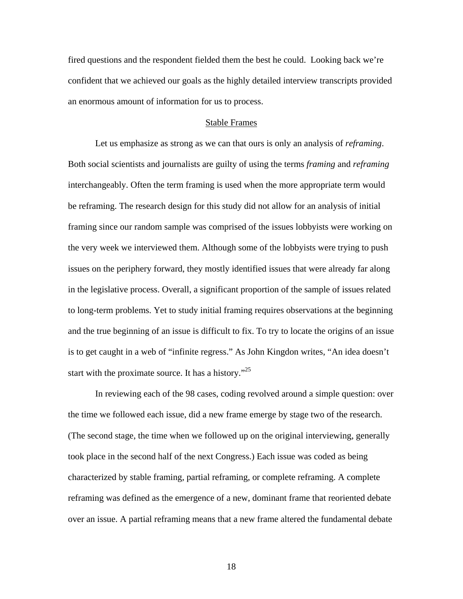fired questions and the respondent fielded them the best he could. Looking back we're confident that we achieved our goals as the highly detailed interview transcripts provided an enormous amount of information for us to process.

## Stable Frames

 Let us emphasize as strong as we can that ours is only an analysis of *reframing*. Both social scientists and journalists are guilty of using the terms *framing* and *reframing*  interchangeably. Often the term framing is used when the more appropriate term would be reframing. The research design for this study did not allow for an analysis of initial framing since our random sample was comprised of the issues lobbyists were working on the very week we interviewed them. Although some of the lobbyists were trying to push issues on the periphery forward, they mostly identified issues that were already far along in the legislative process. Overall, a significant proportion of the sample of issues related to long-term problems. Yet to study initial framing requires observations at the beginning and the true beginning of an issue is difficult to fix. To try to locate the origins of an issue is to get caught in a web of "infinite regress." As John Kingdon writes, "An idea doesn't start with the proximate source. It has a history."<sup>25</sup>

In reviewing each of the 98 cases, coding revolved around a simple question: over the time we followed each issue, did a new frame emerge by stage two of the research. (The second stage, the time when we followed up on the original interviewing, generally took place in the second half of the next Congress.) Each issue was coded as being characterized by stable framing, partial reframing, or complete reframing. A complete reframing was defined as the emergence of a new, dominant frame that reoriented debate over an issue. A partial reframing means that a new frame altered the fundamental debate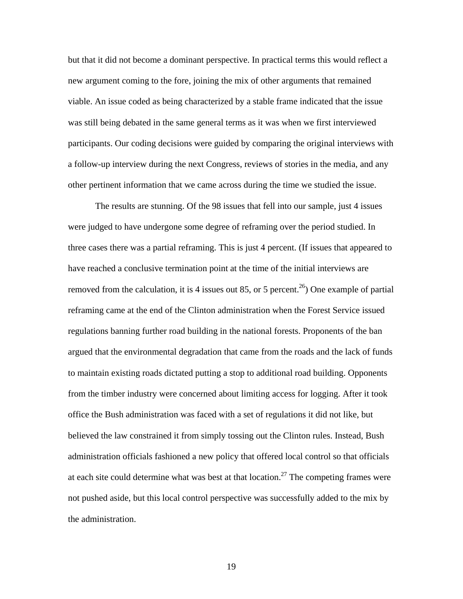but that it did not become a dominant perspective. In practical terms this would reflect a new argument coming to the fore, joining the mix of other arguments that remained viable. An issue coded as being characterized by a stable frame indicated that the issue was still being debated in the same general terms as it was when we first interviewed participants. Our coding decisions were guided by comparing the original interviews with a follow-up interview during the next Congress, reviews of stories in the media, and any other pertinent information that we came across during the time we studied the issue.

The results are stunning. Of the 98 issues that fell into our sample, just 4 issues were judged to have undergone some degree of reframing over the period studied. In three cases there was a partial reframing. This is just 4 percent. (If issues that appeared to have reached a conclusive termination point at the time of the initial interviews are removed from the calculation, it is 4 issues out 85, or 5 percent.<sup>26</sup>) One example of partial reframing came at the end of the Clinton administration when the Forest Service issued regulations banning further road building in the national forests. Proponents of the ban argued that the environmental degradation that came from the roads and the lack of funds to maintain existing roads dictated putting a stop to additional road building. Opponents from the timber industry were concerned about limiting access for logging. After it took office the Bush administration was faced with a set of regulations it did not like, but believed the law constrained it from simply tossing out the Clinton rules. Instead, Bush administration officials fashioned a new policy that offered local control so that officials at each site could determine what was best at that location.<sup>27</sup> The competing frames were not pushed aside, but this local control perspective was successfully added to the mix by the administration.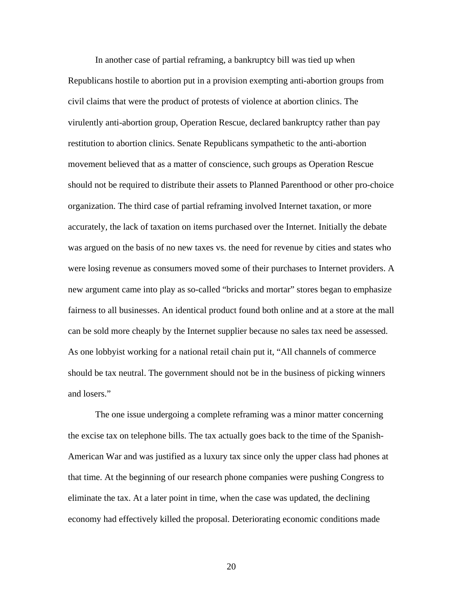In another case of partial reframing, a bankruptcy bill was tied up when Republicans hostile to abortion put in a provision exempting anti-abortion groups from civil claims that were the product of protests of violence at abortion clinics. The virulently anti-abortion group, Operation Rescue, declared bankruptcy rather than pay restitution to abortion clinics. Senate Republicans sympathetic to the anti-abortion movement believed that as a matter of conscience, such groups as Operation Rescue should not be required to distribute their assets to Planned Parenthood or other pro-choice organization. The third case of partial reframing involved Internet taxation, or more accurately, the lack of taxation on items purchased over the Internet. Initially the debate was argued on the basis of no new taxes vs. the need for revenue by cities and states who were losing revenue as consumers moved some of their purchases to Internet providers. A new argument came into play as so-called "bricks and mortar" stores began to emphasize fairness to all businesses. An identical product found both online and at a store at the mall can be sold more cheaply by the Internet supplier because no sales tax need be assessed. As one lobbyist working for a national retail chain put it, "All channels of commerce should be tax neutral. The government should not be in the business of picking winners and losers."

 The one issue undergoing a complete reframing was a minor matter concerning the excise tax on telephone bills. The tax actually goes back to the time of the Spanish-American War and was justified as a luxury tax since only the upper class had phones at that time. At the beginning of our research phone companies were pushing Congress to eliminate the tax. At a later point in time, when the case was updated, the declining economy had effectively killed the proposal. Deteriorating economic conditions made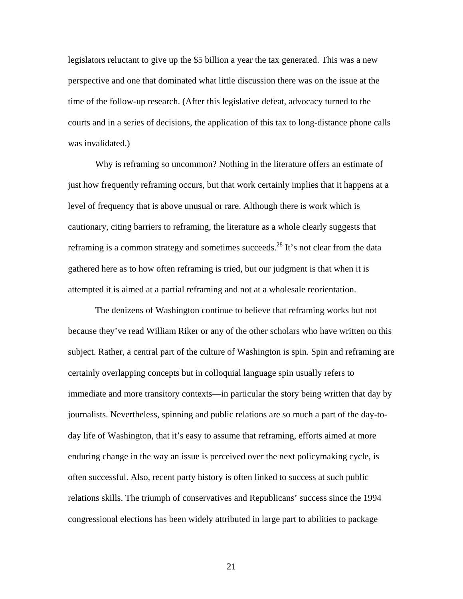legislators reluctant to give up the \$5 billion a year the tax generated. This was a new perspective and one that dominated what little discussion there was on the issue at the time of the follow-up research. (After this legislative defeat, advocacy turned to the courts and in a series of decisions, the application of this tax to long-distance phone calls was invalidated.)

Why is reframing so uncommon? Nothing in the literature offers an estimate of just how frequently reframing occurs, but that work certainly implies that it happens at a level of frequency that is above unusual or rare. Although there is work which is cautionary, citing barriers to reframing, the literature as a whole clearly suggests that reframing is a common strategy and sometimes succeeds.<sup>28</sup> It's not clear from the data gathered here as to how often reframing is tried, but our judgment is that when it is attempted it is aimed at a partial reframing and not at a wholesale reorientation.

 The denizens of Washington continue to believe that reframing works but not because they've read William Riker or any of the other scholars who have written on this subject. Rather, a central part of the culture of Washington is spin. Spin and reframing are certainly overlapping concepts but in colloquial language spin usually refers to immediate and more transitory contexts—in particular the story being written that day by journalists. Nevertheless, spinning and public relations are so much a part of the day-today life of Washington, that it's easy to assume that reframing, efforts aimed at more enduring change in the way an issue is perceived over the next policymaking cycle, is often successful. Also, recent party history is often linked to success at such public relations skills. The triumph of conservatives and Republicans' success since the 1994 congressional elections has been widely attributed in large part to abilities to package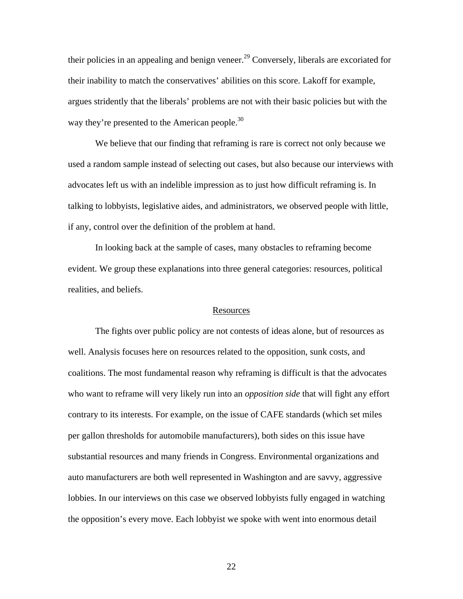their policies in an appealing and benign veneer.<sup>29</sup> Conversely, liberals are excoriated for their inability to match the conservatives' abilities on this score. Lakoff for example, argues stridently that the liberals' problems are not with their basic policies but with the way they're presented to the American people.<sup>30</sup>

 We believe that our finding that reframing is rare is correct not only because we used a random sample instead of selecting out cases, but also because our interviews with advocates left us with an indelible impression as to just how difficult reframing is. In talking to lobbyists, legislative aides, and administrators, we observed people with little, if any, control over the definition of the problem at hand.

 In looking back at the sample of cases, many obstacles to reframing become evident. We group these explanations into three general categories: resources, political realities, and beliefs.

#### **Resources**

The fights over public policy are not contests of ideas alone, but of resources as well. Analysis focuses here on resources related to the opposition, sunk costs, and coalitions. The most fundamental reason why reframing is difficult is that the advocates who want to reframe will very likely run into an *opposition side* that will fight any effort contrary to its interests. For example, on the issue of CAFE standards (which set miles per gallon thresholds for automobile manufacturers), both sides on this issue have substantial resources and many friends in Congress. Environmental organizations and auto manufacturers are both well represented in Washington and are savvy, aggressive lobbies. In our interviews on this case we observed lobbyists fully engaged in watching the opposition's every move. Each lobbyist we spoke with went into enormous detail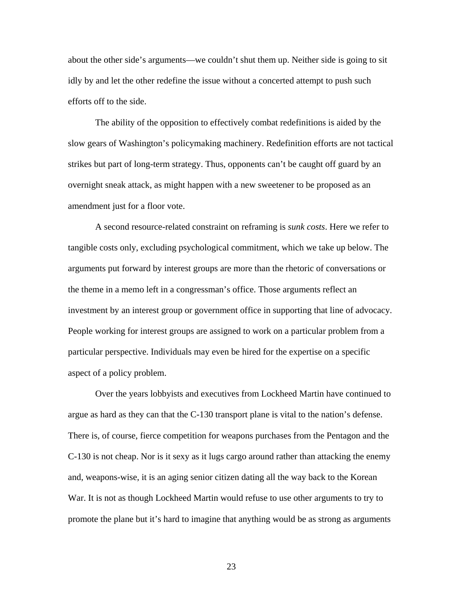about the other side's arguments—we couldn't shut them up. Neither side is going to sit idly by and let the other redefine the issue without a concerted attempt to push such efforts off to the side.

The ability of the opposition to effectively combat redefinitions is aided by the slow gears of Washington's policymaking machinery. Redefinition efforts are not tactical strikes but part of long-term strategy. Thus, opponents can't be caught off guard by an overnight sneak attack, as might happen with a new sweetener to be proposed as an amendment just for a floor vote.

 A second resource-related constraint on reframing is *sunk costs*. Here we refer to tangible costs only, excluding psychological commitment, which we take up below. The arguments put forward by interest groups are more than the rhetoric of conversations or the theme in a memo left in a congressman's office. Those arguments reflect an investment by an interest group or government office in supporting that line of advocacy. People working for interest groups are assigned to work on a particular problem from a particular perspective. Individuals may even be hired for the expertise on a specific aspect of a policy problem.

 Over the years lobbyists and executives from Lockheed Martin have continued to argue as hard as they can that the C-130 transport plane is vital to the nation's defense. There is, of course, fierce competition for weapons purchases from the Pentagon and the C-130 is not cheap. Nor is it sexy as it lugs cargo around rather than attacking the enemy and, weapons-wise, it is an aging senior citizen dating all the way back to the Korean War. It is not as though Lockheed Martin would refuse to use other arguments to try to promote the plane but it's hard to imagine that anything would be as strong as arguments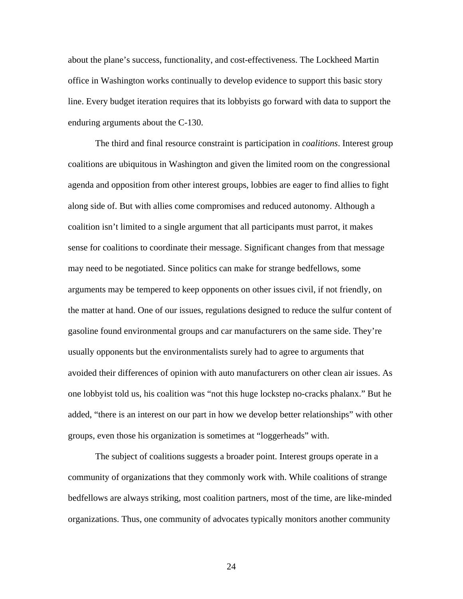about the plane's success, functionality, and cost-effectiveness. The Lockheed Martin office in Washington works continually to develop evidence to support this basic story line. Every budget iteration requires that its lobbyists go forward with data to support the enduring arguments about the C-130.

 The third and final resource constraint is participation in *coalitions*. Interest group coalitions are ubiquitous in Washington and given the limited room on the congressional agenda and opposition from other interest groups, lobbies are eager to find allies to fight along side of. But with allies come compromises and reduced autonomy. Although a coalition isn't limited to a single argument that all participants must parrot, it makes sense for coalitions to coordinate their message. Significant changes from that message may need to be negotiated. Since politics can make for strange bedfellows, some arguments may be tempered to keep opponents on other issues civil, if not friendly, on the matter at hand. One of our issues, regulations designed to reduce the sulfur content of gasoline found environmental groups and car manufacturers on the same side. They're usually opponents but the environmentalists surely had to agree to arguments that avoided their differences of opinion with auto manufacturers on other clean air issues. As one lobbyist told us, his coalition was "not this huge lockstep no-cracks phalanx." But he added, "there is an interest on our part in how we develop better relationships" with other groups, even those his organization is sometimes at "loggerheads" with.

 The subject of coalitions suggests a broader point. Interest groups operate in a community of organizations that they commonly work with. While coalitions of strange bedfellows are always striking, most coalition partners, most of the time, are like-minded organizations. Thus, one community of advocates typically monitors another community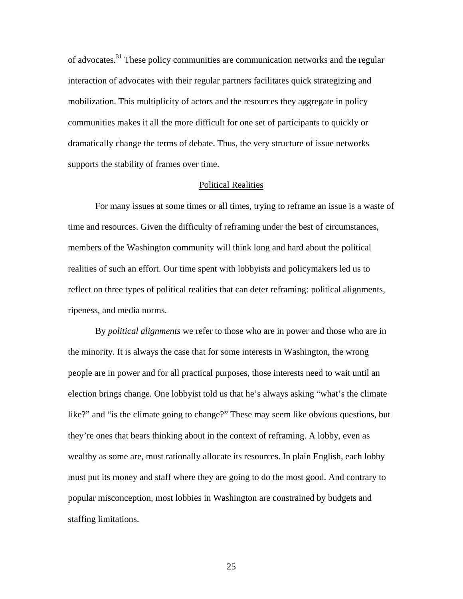of advocates.<sup>31</sup> These policy communities are communication networks and the regular interaction of advocates with their regular partners facilitates quick strategizing and mobilization. This multiplicity of actors and the resources they aggregate in policy communities makes it all the more difficult for one set of participants to quickly or dramatically change the terms of debate. Thus, the very structure of issue networks supports the stability of frames over time.

## Political Realities

For many issues at some times or all times, trying to reframe an issue is a waste of time and resources. Given the difficulty of reframing under the best of circumstances, members of the Washington community will think long and hard about the political realities of such an effort. Our time spent with lobbyists and policymakers led us to reflect on three types of political realities that can deter reframing: political alignments, ripeness, and media norms.

 By *political alignments* we refer to those who are in power and those who are in the minority. It is always the case that for some interests in Washington, the wrong people are in power and for all practical purposes, those interests need to wait until an election brings change. One lobbyist told us that he's always asking "what's the climate like?" and "is the climate going to change?" These may seem like obvious questions, but they're ones that bears thinking about in the context of reframing. A lobby, even as wealthy as some are, must rationally allocate its resources. In plain English, each lobby must put its money and staff where they are going to do the most good. And contrary to popular misconception, most lobbies in Washington are constrained by budgets and staffing limitations.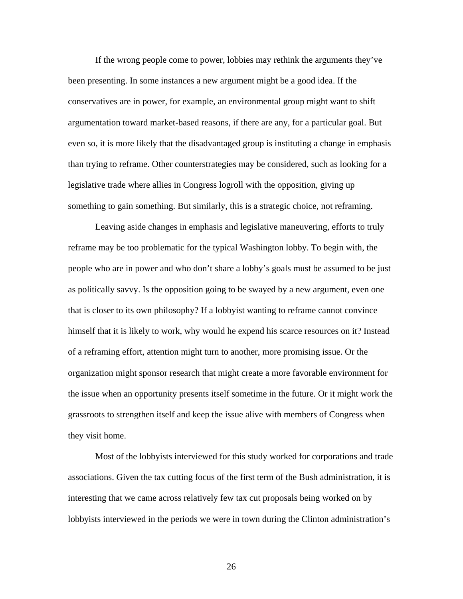If the wrong people come to power, lobbies may rethink the arguments they've been presenting. In some instances a new argument might be a good idea. If the conservatives are in power, for example, an environmental group might want to shift argumentation toward market-based reasons, if there are any, for a particular goal. But even so, it is more likely that the disadvantaged group is instituting a change in emphasis than trying to reframe. Other counterstrategies may be considered, such as looking for a legislative trade where allies in Congress logroll with the opposition, giving up something to gain something. But similarly, this is a strategic choice, not reframing.

 Leaving aside changes in emphasis and legislative maneuvering, efforts to truly reframe may be too problematic for the typical Washington lobby. To begin with, the people who are in power and who don't share a lobby's goals must be assumed to be just as politically savvy. Is the opposition going to be swayed by a new argument, even one that is closer to its own philosophy? If a lobbyist wanting to reframe cannot convince himself that it is likely to work, why would he expend his scarce resources on it? Instead of a reframing effort, attention might turn to another, more promising issue. Or the organization might sponsor research that might create a more favorable environment for the issue when an opportunity presents itself sometime in the future. Or it might work the grassroots to strengthen itself and keep the issue alive with members of Congress when they visit home.

 Most of the lobbyists interviewed for this study worked for corporations and trade associations. Given the tax cutting focus of the first term of the Bush administration, it is interesting that we came across relatively few tax cut proposals being worked on by lobbyists interviewed in the periods we were in town during the Clinton administration's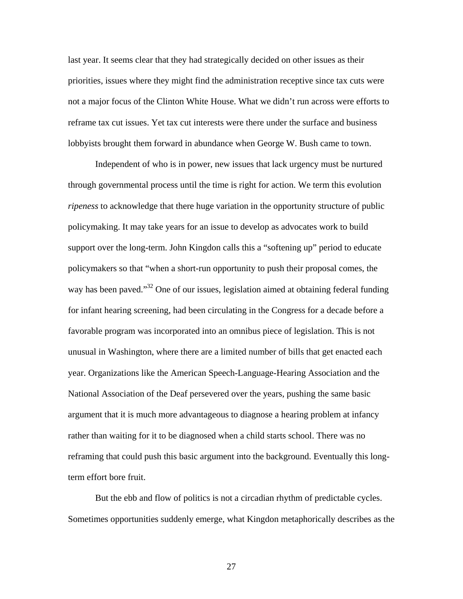last year. It seems clear that they had strategically decided on other issues as their priorities, issues where they might find the administration receptive since tax cuts were not a major focus of the Clinton White House. What we didn't run across were efforts to reframe tax cut issues. Yet tax cut interests were there under the surface and business lobbyists brought them forward in abundance when George W. Bush came to town.

 Independent of who is in power, new issues that lack urgency must be nurtured through governmental process until the time is right for action. We term this evolution *ripeness* to acknowledge that there huge variation in the opportunity structure of public policymaking. It may take years for an issue to develop as advocates work to build support over the long-term. John Kingdon calls this a "softening up" period to educate policymakers so that "when a short-run opportunity to push their proposal comes, the way has been paved."<sup>32</sup> One of our issues, legislation aimed at obtaining federal funding for infant hearing screening, had been circulating in the Congress for a decade before a favorable program was incorporated into an omnibus piece of legislation. This is not unusual in Washington, where there are a limited number of bills that get enacted each year. Organizations like the American Speech-Language-Hearing Association and the National Association of the Deaf persevered over the years, pushing the same basic argument that it is much more advantageous to diagnose a hearing problem at infancy rather than waiting for it to be diagnosed when a child starts school. There was no reframing that could push this basic argument into the background. Eventually this longterm effort bore fruit.

 But the ebb and flow of politics is not a circadian rhythm of predictable cycles. Sometimes opportunities suddenly emerge, what Kingdon metaphorically describes as the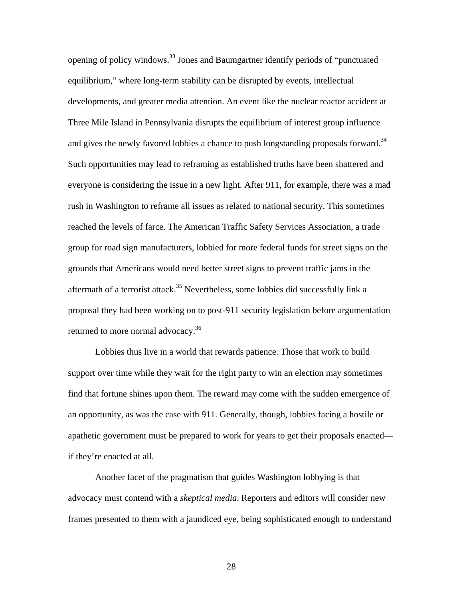opening of policy windows.33 Jones and Baumgartner identify periods of "punctuated equilibrium," where long-term stability can be disrupted by events, intellectual developments, and greater media attention. An event like the nuclear reactor accident at Three Mile Island in Pennsylvania disrupts the equilibrium of interest group influence and gives the newly favored lobbies a chance to push longstanding proposals forward.<sup>34</sup> Such opportunities may lead to reframing as established truths have been shattered and everyone is considering the issue in a new light. After 911, for example, there was a mad rush in Washington to reframe all issues as related to national security. This sometimes reached the levels of farce. The American Traffic Safety Services Association, a trade group for road sign manufacturers, lobbied for more federal funds for street signs on the grounds that Americans would need better street signs to prevent traffic jams in the aftermath of a terrorist attack.<sup>35</sup> Nevertheless, some lobbies did successfully link a proposal they had been working on to post-911 security legislation before argumentation returned to more normal advocacy.<sup>36</sup>

 Lobbies thus live in a world that rewards patience. Those that work to build support over time while they wait for the right party to win an election may sometimes find that fortune shines upon them. The reward may come with the sudden emergence of an opportunity, as was the case with 911. Generally, though, lobbies facing a hostile or apathetic government must be prepared to work for years to get their proposals enacted if they're enacted at all.

 Another facet of the pragmatism that guides Washington lobbying is that advocacy must contend with a *skeptical media*. Reporters and editors will consider new frames presented to them with a jaundiced eye, being sophisticated enough to understand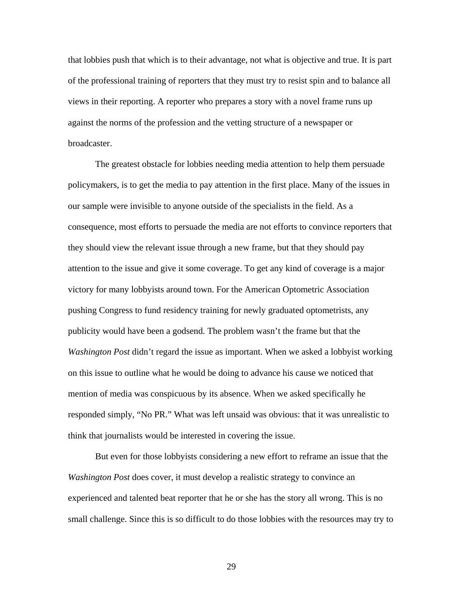that lobbies push that which is to their advantage, not what is objective and true. It is part of the professional training of reporters that they must try to resist spin and to balance all views in their reporting. A reporter who prepares a story with a novel frame runs up against the norms of the profession and the vetting structure of a newspaper or broadcaster.

The greatest obstacle for lobbies needing media attention to help them persuade policymakers, is to get the media to pay attention in the first place. Many of the issues in our sample were invisible to anyone outside of the specialists in the field. As a consequence, most efforts to persuade the media are not efforts to convince reporters that they should view the relevant issue through a new frame, but that they should pay attention to the issue and give it some coverage. To get any kind of coverage is a major victory for many lobbyists around town. For the American Optometric Association pushing Congress to fund residency training for newly graduated optometrists, any publicity would have been a godsend. The problem wasn't the frame but that the *Washington Post* didn't regard the issue as important. When we asked a lobbyist working on this issue to outline what he would be doing to advance his cause we noticed that mention of media was conspicuous by its absence. When we asked specifically he responded simply, "No PR." What was left unsaid was obvious: that it was unrealistic to think that journalists would be interested in covering the issue.

 But even for those lobbyists considering a new effort to reframe an issue that the *Washington Post* does cover, it must develop a realistic strategy to convince an experienced and talented beat reporter that he or she has the story all wrong. This is no small challenge. Since this is so difficult to do those lobbies with the resources may try to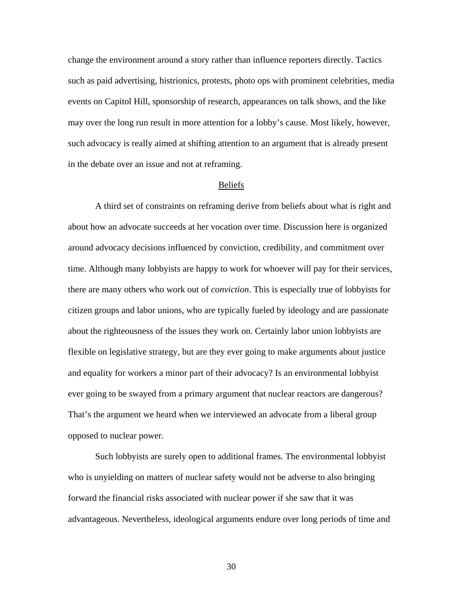change the environment around a story rather than influence reporters directly. Tactics such as paid advertising, histrionics, protests, photo ops with prominent celebrities, media events on Capitol Hill, sponsorship of research, appearances on talk shows, and the like may over the long run result in more attention for a lobby's cause. Most likely, however, such advocacy is really aimed at shifting attention to an argument that is already present in the debate over an issue and not at reframing.

## Beliefs

 A third set of constraints on reframing derive from beliefs about what is right and about how an advocate succeeds at her vocation over time. Discussion here is organized around advocacy decisions influenced by conviction, credibility, and commitment over time. Although many lobbyists are happy to work for whoever will pay for their services, there are many others who work out of *conviction*. This is especially true of lobbyists for citizen groups and labor unions, who are typically fueled by ideology and are passionate about the righteousness of the issues they work on. Certainly labor union lobbyists are flexible on legislative strategy, but are they ever going to make arguments about justice and equality for workers a minor part of their advocacy? Is an environmental lobbyist ever going to be swayed from a primary argument that nuclear reactors are dangerous? That's the argument we heard when we interviewed an advocate from a liberal group opposed to nuclear power.

 Such lobbyists are surely open to additional frames. The environmental lobbyist who is unyielding on matters of nuclear safety would not be adverse to also bringing forward the financial risks associated with nuclear power if she saw that it was advantageous. Nevertheless, ideological arguments endure over long periods of time and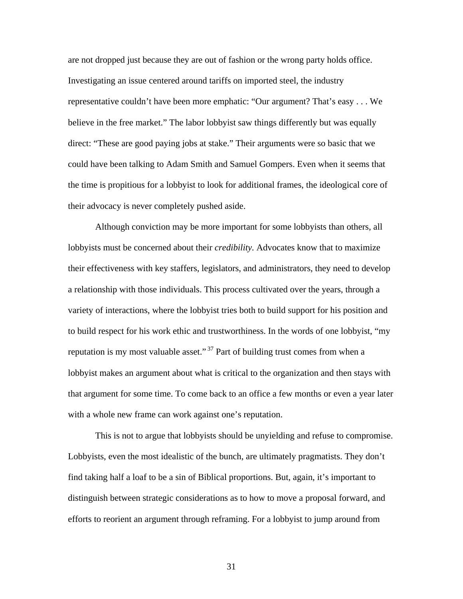are not dropped just because they are out of fashion or the wrong party holds office. Investigating an issue centered around tariffs on imported steel, the industry representative couldn't have been more emphatic: "Our argument? That's easy . . . We believe in the free market." The labor lobbyist saw things differently but was equally direct: "These are good paying jobs at stake." Their arguments were so basic that we could have been talking to Adam Smith and Samuel Gompers. Even when it seems that the time is propitious for a lobbyist to look for additional frames, the ideological core of their advocacy is never completely pushed aside.

Although conviction may be more important for some lobbyists than others, all lobbyists must be concerned about their *credibility.* Advocates know that to maximize their effectiveness with key staffers, legislators, and administrators, they need to develop a relationship with those individuals. This process cultivated over the years, through a variety of interactions, where the lobbyist tries both to build support for his position and to build respect for his work ethic and trustworthiness. In the words of one lobbyist, "my reputation is my most valuable asset."<sup>37</sup> Part of building trust comes from when a lobbyist makes an argument about what is critical to the organization and then stays with that argument for some time. To come back to an office a few months or even a year later with a whole new frame can work against one's reputation.

 This is not to argue that lobbyists should be unyielding and refuse to compromise. Lobbyists, even the most idealistic of the bunch, are ultimately pragmatists. They don't find taking half a loaf to be a sin of Biblical proportions. But, again, it's important to distinguish between strategic considerations as to how to move a proposal forward, and efforts to reorient an argument through reframing. For a lobbyist to jump around from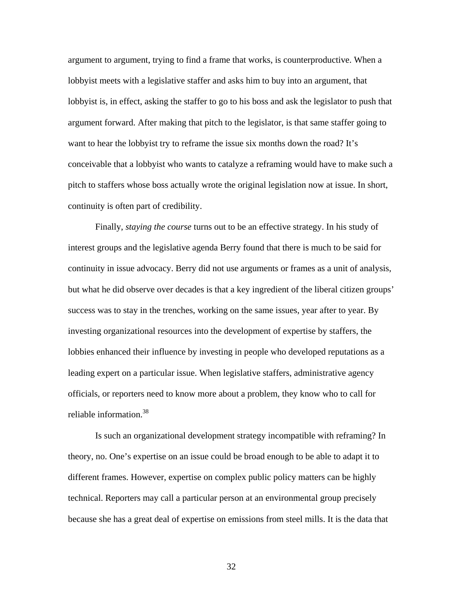argument to argument, trying to find a frame that works, is counterproductive. When a lobbyist meets with a legislative staffer and asks him to buy into an argument, that lobbyist is, in effect, asking the staffer to go to his boss and ask the legislator to push that argument forward. After making that pitch to the legislator, is that same staffer going to want to hear the lobbyist try to reframe the issue six months down the road? It's conceivable that a lobbyist who wants to catalyze a reframing would have to make such a pitch to staffers whose boss actually wrote the original legislation now at issue. In short, continuity is often part of credibility.

 Finally, *staying the course* turns out to be an effective strategy. In his study of interest groups and the legislative agenda Berry found that there is much to be said for continuity in issue advocacy. Berry did not use arguments or frames as a unit of analysis, but what he did observe over decades is that a key ingredient of the liberal citizen groups' success was to stay in the trenches, working on the same issues, year after to year. By investing organizational resources into the development of expertise by staffers, the lobbies enhanced their influence by investing in people who developed reputations as a leading expert on a particular issue. When legislative staffers, administrative agency officials, or reporters need to know more about a problem, they know who to call for reliable information.<sup>38</sup>

 Is such an organizational development strategy incompatible with reframing? In theory, no. One's expertise on an issue could be broad enough to be able to adapt it to different frames. However, expertise on complex public policy matters can be highly technical. Reporters may call a particular person at an environmental group precisely because she has a great deal of expertise on emissions from steel mills. It is the data that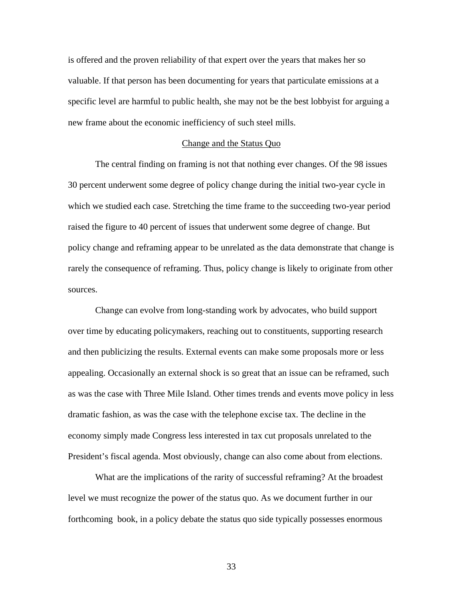is offered and the proven reliability of that expert over the years that makes her so valuable. If that person has been documenting for years that particulate emissions at a specific level are harmful to public health, she may not be the best lobbyist for arguing a new frame about the economic inefficiency of such steel mills.

## Change and the Status Quo

 The central finding on framing is not that nothing ever changes. Of the 98 issues 30 percent underwent some degree of policy change during the initial two-year cycle in which we studied each case. Stretching the time frame to the succeeding two-year period raised the figure to 40 percent of issues that underwent some degree of change. But policy change and reframing appear to be unrelated as the data demonstrate that change is rarely the consequence of reframing. Thus, policy change is likely to originate from other sources.

Change can evolve from long-standing work by advocates, who build support over time by educating policymakers, reaching out to constituents, supporting research and then publicizing the results. External events can make some proposals more or less appealing. Occasionally an external shock is so great that an issue can be reframed, such as was the case with Three Mile Island. Other times trends and events move policy in less dramatic fashion, as was the case with the telephone excise tax. The decline in the economy simply made Congress less interested in tax cut proposals unrelated to the President's fiscal agenda. Most obviously, change can also come about from elections.

What are the implications of the rarity of successful reframing? At the broadest level we must recognize the power of the status quo. As we document further in our forthcoming book, in a policy debate the status quo side typically possesses enormous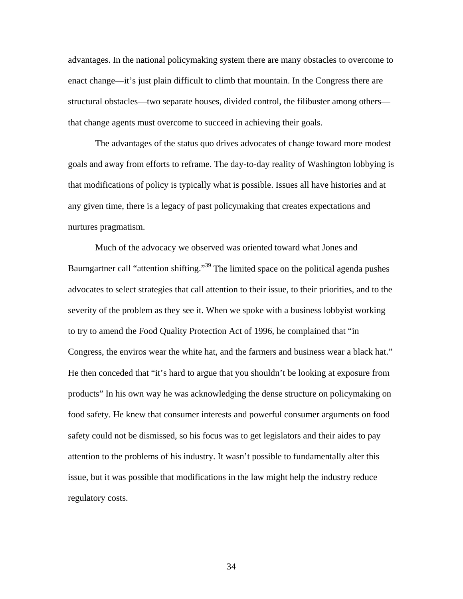advantages. In the national policymaking system there are many obstacles to overcome to enact change—it's just plain difficult to climb that mountain. In the Congress there are structural obstacles—two separate houses, divided control, the filibuster among others that change agents must overcome to succeed in achieving their goals.

The advantages of the status quo drives advocates of change toward more modest goals and away from efforts to reframe. The day-to-day reality of Washington lobbying is that modifications of policy is typically what is possible. Issues all have histories and at any given time, there is a legacy of past policymaking that creates expectations and nurtures pragmatism.

Much of the advocacy we observed was oriented toward what Jones and Baumgartner call "attention shifting."<sup>39</sup> The limited space on the political agenda pushes advocates to select strategies that call attention to their issue, to their priorities, and to the severity of the problem as they see it. When we spoke with a business lobbyist working to try to amend the Food Quality Protection Act of 1996, he complained that "in Congress, the enviros wear the white hat, and the farmers and business wear a black hat." He then conceded that "it's hard to argue that you shouldn't be looking at exposure from products" In his own way he was acknowledging the dense structure on policymaking on food safety. He knew that consumer interests and powerful consumer arguments on food safety could not be dismissed, so his focus was to get legislators and their aides to pay attention to the problems of his industry. It wasn't possible to fundamentally alter this issue, but it was possible that modifications in the law might help the industry reduce regulatory costs.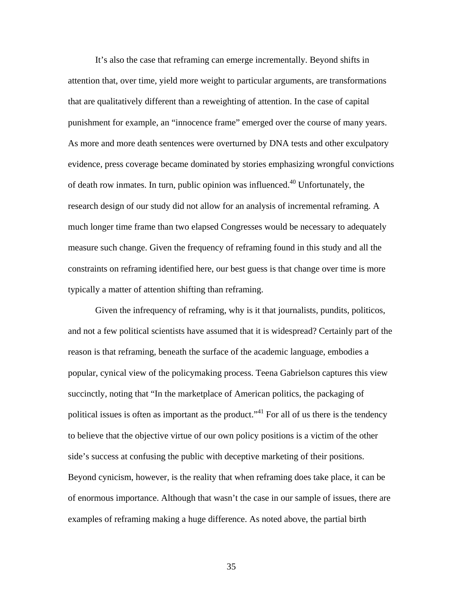It's also the case that reframing can emerge incrementally. Beyond shifts in attention that, over time, yield more weight to particular arguments, are transformations that are qualitatively different than a reweighting of attention. In the case of capital punishment for example, an "innocence frame" emerged over the course of many years. As more and more death sentences were overturned by DNA tests and other exculpatory evidence, press coverage became dominated by stories emphasizing wrongful convictions of death row inmates. In turn, public opinion was influenced.40 Unfortunately, the research design of our study did not allow for an analysis of incremental reframing. A much longer time frame than two elapsed Congresses would be necessary to adequately measure such change. Given the frequency of reframing found in this study and all the constraints on reframing identified here, our best guess is that change over time is more typically a matter of attention shifting than reframing.

 Given the infrequency of reframing, why is it that journalists, pundits, politicos, and not a few political scientists have assumed that it is widespread? Certainly part of the reason is that reframing, beneath the surface of the academic language, embodies a popular, cynical view of the policymaking process. Teena Gabrielson captures this view succinctly, noting that "In the marketplace of American politics, the packaging of political issues is often as important as the product."<sup>41</sup> For all of us there is the tendency to believe that the objective virtue of our own policy positions is a victim of the other side's success at confusing the public with deceptive marketing of their positions. Beyond cynicism, however, is the reality that when reframing does take place, it can be of enormous importance. Although that wasn't the case in our sample of issues, there are examples of reframing making a huge difference. As noted above, the partial birth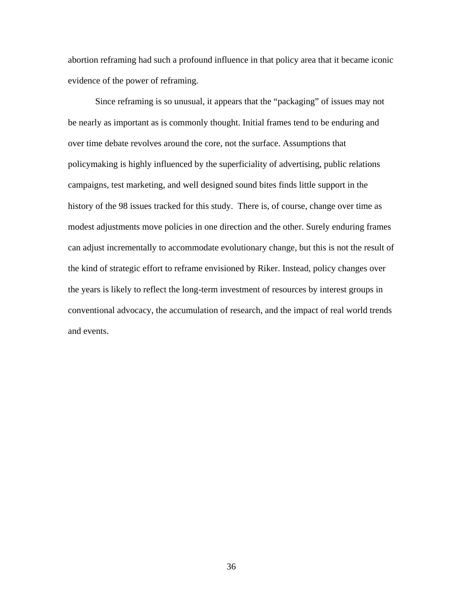abortion reframing had such a profound influence in that policy area that it became iconic evidence of the power of reframing.

 Since reframing is so unusual, it appears that the "packaging" of issues may not be nearly as important as is commonly thought. Initial frames tend to be enduring and over time debate revolves around the core, not the surface. Assumptions that policymaking is highly influenced by the superficiality of advertising, public relations campaigns, test marketing, and well designed sound bites finds little support in the history of the 98 issues tracked for this study. There is, of course, change over time as modest adjustments move policies in one direction and the other. Surely enduring frames can adjust incrementally to accommodate evolutionary change, but this is not the result of the kind of strategic effort to reframe envisioned by Riker. Instead, policy changes over the years is likely to reflect the long-term investment of resources by interest groups in conventional advocacy, the accumulation of research, and the impact of real world trends and events.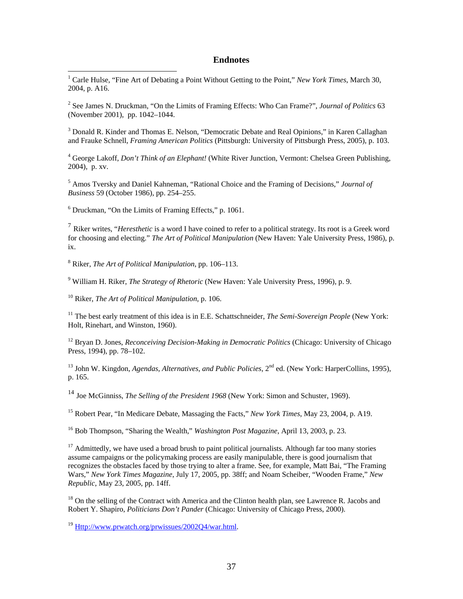# **Endnotes**

<sup>1</sup> Carle Hulse, "Fine Art of Debating a Point Without Getting to the Point," *New York Times*, March 30, 2004, p. A16.

2 See James N. Druckman, "On the Limits of Framing Effects: Who Can Frame?", *Journal of Politics* 63 (November 2001), pp. 1042–1044.

<sup>3</sup> Donald R. Kinder and Thomas E. Nelson, "Democratic Debate and Real Opinions," in Karen Callaghan and Frauke Schnell, *Framing American Politics* (Pittsburgh: University of Pittsburgh Press, 2005), p. 103.

<sup>4</sup> George Lakoff, *Don't Think of an Elephant!* (White River Junction, Vermont: Chelsea Green Publishing, 2004), p. xv.

5 Amos Tversky and Daniel Kahneman, "Rational Choice and the Framing of Decisions," *Journal of Business* 59 (October 1986), pp. 254–255.

6 Druckman, "On the Limits of Framing Effects," p. 1061.

 $\overline{a}$ 

<sup>7</sup> Riker writes, "*Heresthetic* is a word I have coined to refer to a political strategy. Its root is a Greek word for choosing and electing." *The Art of Political Manipulation* (New Haven: Yale University Press, 1986), p. ix.

8 Riker, *The Art of Political Manipulation*, pp. 106–113.

9 William H. Riker, *The Strategy of Rhetoric* (New Haven: Yale University Press, 1996), p. 9.

10 Riker, *The Art of Political Manipulation*, p. 106.

<sup>11</sup> The best early treatment of this idea is in E.E. Schattschneider, *The Semi-Sovereign People* (New York: Holt, Rinehart, and Winston, 1960).

<sup>12</sup> Bryan D. Jones, *Reconceiving Decision-Making in Democratic Politics* (Chicago: University of Chicago Press, 1994), pp. 78–102.

<sup>13</sup> John W. Kingdon, *Agendas, Alternatives, and Public Policies*, 2<sup>nd</sup> ed. (New York: HarperCollins, 1995), p. 165.

<sup>14</sup> Joe McGinniss, *The Selling of the President 1968* (New York: Simon and Schuster, 1969).

15 Robert Pear, "In Medicare Debate, Massaging the Facts," *New York Times*, May 23, 2004, p. A19.

16 Bob Thompson, "Sharing the Wealth," *Washington Post Magazine*, April 13, 2003, p. 23.

<sup>17</sup> Admittedly, we have used a broad brush to paint political journalists. Although far too many stories assume campaigns or the policymaking process are easily manipulable, there is good journalism that recognizes the obstacles faced by those trying to alter a frame. See, for example, Matt Bai, "The Framing Wars," *New York Times Magazine*, July 17, 2005, pp. 38ff; and Noam Scheiber, "Wooden Frame," *New Republic*, May 23, 2005, pp. 14ff.

<sup>18</sup> On the selling of the Contract with America and the Clinton health plan, see Lawrence R. Jacobs and Robert Y. Shapiro, *Politicians Don't Pander* (Chicago: University of Chicago Press, 2000).

<sup>19</sup> Http://www.prwatch.org/prwissues/2002Q4/war.html.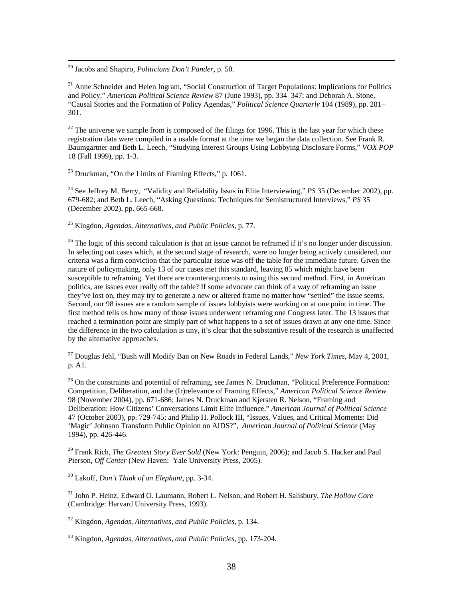20 Jacobs and Shapiro, *Politicians Don't Pander*, p. 50.

<sup>21</sup> Anne Schneider and Helen Ingram, "Social Construction of Target Populations: Implications for Politics and Policy," *American Political Science Review* 87 (June 1993), pp. 334–347; and Deborah A. Stone, "Causal Stories and the Formation of Policy Agendas," *Political Science Quarterly* 104 (1989), pp. 281– 301.

 $^{22}$  The universe we sample from is composed of the filings for 1996. This is the last year for which these registration data were compiled in a usable format at the time we began the data collection. See Frank R. Baumgartner and Beth L. Leech, "Studying Interest Groups Using Lobbying Disclosure Forms," *VOX POP* 18 (Fall 1999), pp. 1-3.

 $^{23}$  Druckman, "On the Limits of Framing Effects," p. 1061.

24 See Jeffrey M. Berry, "Validity and Reliability Issus in Elite Interviewing," *PS* 35 (December 2002), pp. 679-682; and Beth L. Leech, "Asking Questions: Techniques for Semistructured Interviews," *PS* 35 (December 2002), pp. 665-668.

25 Kingdon, *Agendas, Alternatives, and Public Policies*, p. 77.

<sup>26</sup> The logic of this second calculation is that an issue cannot be reframed if it's no longer under discussion. In selecting out cases which, at the second stage of research, were no longer being actively considered, our criteria was a firm conviction that the particular issue was off the table for the immediate future. Given the nature of policymaking, only 13 of our cases met this standard, leaving 85 which might have been susceptible to reframing. Yet there are counterarguments to using this second method. First, in American politics, are issues ever really off the table? If some advocate can think of a way of reframing an issue they've lost on, they may try to generate a new or altered frame no matter how "settled" the issue seems. Second, our 98 issues are a random sample of issues lobbyists were working on at one point in time. The first method tells us how many of those issues underwent reframing one Congress later. The 13 issues that reached a termination point are simply part of what happens to a set of issues drawn at any one time. Since the difference in the two calculation is tiny, it's clear that the substantive result of the research is unaffected by the alternative approaches.

27 Douglas Jehl, "Bush will Modify Ban on New Roads in Federal Lands," *New York Times*, May 4, 2001, p. A1.

 $^{28}$  On the constraints and potential of reframing, see James N. Druckman, "Political Preference Formation: Competition, Deliberation, and the (Ir)relevance of Framing Effects," *American Political Science Review* 98 (November 2004), pp. 671-686; James N. Druckman and Kjersten R. Nelson, "Framing and Deliberation: How Citizens' Conversations Limit Elite Influence," *American Journal of Political Science* 47 (October 2003), pp. 729-745; and Philip H. Pollock III, "Issues, Values, and Critical Moments: Did 'Magic' Johnson Transform Public Opinion on AIDS?", *American Journal of Political Science* (May 1994), pp. 426-446.

29 Frank Rich, *The Greatest Story Ever Sold* (New York: Penguin, 2006); and Jacob S. Hacker and Paul Pierson, *Off Center* (New Haven: Yale University Press, 2005).

30 Lakoff, *Don't Think of an Elephant*, pp. 3-34.

31 John P. Heinz, Edward O. Laumann, Robert L. Nelson, and Robert H. Salisbury, *The Hollow Core* (Cambridge: Harvard University Press, 1993).

32 Kingdon, *Agendas, Alternatives, and Public Policies*, p. 134.

33 Kingdon, *Agendas, Alternatives, and Public Policies*, pp. 173-204.